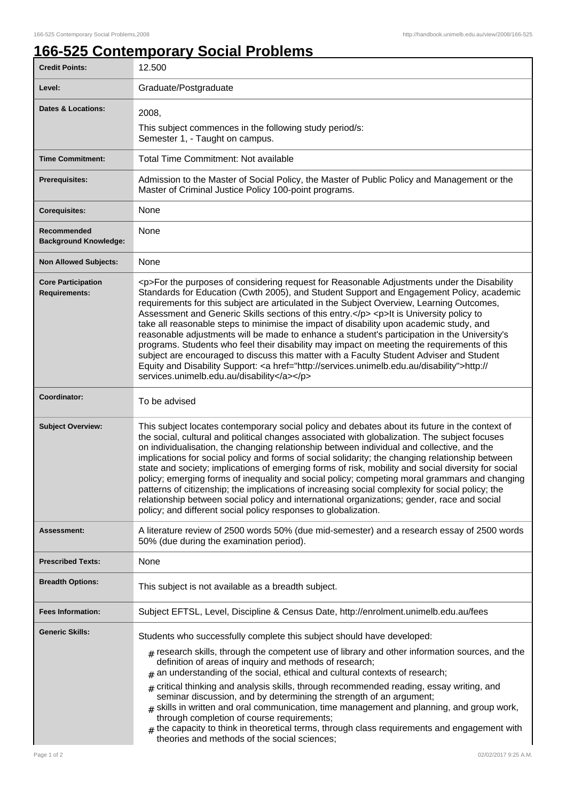## **166-525 Contemporary Social Problems**

| <b>Credit Points:</b>                             | 12.500                                                                                                                                                                                                                                                                                                                                                                                                                                                                                                                                                                                                                                                                                                                                                                                                                                                                                                                       |
|---------------------------------------------------|------------------------------------------------------------------------------------------------------------------------------------------------------------------------------------------------------------------------------------------------------------------------------------------------------------------------------------------------------------------------------------------------------------------------------------------------------------------------------------------------------------------------------------------------------------------------------------------------------------------------------------------------------------------------------------------------------------------------------------------------------------------------------------------------------------------------------------------------------------------------------------------------------------------------------|
| Level:                                            | Graduate/Postgraduate                                                                                                                                                                                                                                                                                                                                                                                                                                                                                                                                                                                                                                                                                                                                                                                                                                                                                                        |
| <b>Dates &amp; Locations:</b>                     | 2008,                                                                                                                                                                                                                                                                                                                                                                                                                                                                                                                                                                                                                                                                                                                                                                                                                                                                                                                        |
|                                                   | This subject commences in the following study period/s:<br>Semester 1, - Taught on campus.                                                                                                                                                                                                                                                                                                                                                                                                                                                                                                                                                                                                                                                                                                                                                                                                                                   |
| <b>Time Commitment:</b>                           | Total Time Commitment: Not available                                                                                                                                                                                                                                                                                                                                                                                                                                                                                                                                                                                                                                                                                                                                                                                                                                                                                         |
| <b>Prerequisites:</b>                             | Admission to the Master of Social Policy, the Master of Public Policy and Management or the<br>Master of Criminal Justice Policy 100-point programs.                                                                                                                                                                                                                                                                                                                                                                                                                                                                                                                                                                                                                                                                                                                                                                         |
| <b>Corequisites:</b>                              | None                                                                                                                                                                                                                                                                                                                                                                                                                                                                                                                                                                                                                                                                                                                                                                                                                                                                                                                         |
| Recommended<br><b>Background Knowledge:</b>       | None                                                                                                                                                                                                                                                                                                                                                                                                                                                                                                                                                                                                                                                                                                                                                                                                                                                                                                                         |
| <b>Non Allowed Subjects:</b>                      | None                                                                                                                                                                                                                                                                                                                                                                                                                                                                                                                                                                                                                                                                                                                                                                                                                                                                                                                         |
| <b>Core Participation</b><br><b>Requirements:</b> | <p>For the purposes of considering request for Reasonable Adjustments under the Disability<br/>Standards for Education (Cwth 2005), and Student Support and Engagement Policy, academic<br/>requirements for this subject are articulated in the Subject Overview, Learning Outcomes,<br/>Assessment and Generic Skills sections of this entry.</p> <p>lt is University policy to<br/>take all reasonable steps to minimise the impact of disability upon academic study, and<br/>reasonable adjustments will be made to enhance a student's participation in the University's<br/>programs. Students who feel their disability may impact on meeting the requirements of this<br/>subject are encouraged to discuss this matter with a Faculty Student Adviser and Student<br/>Equity and Disability Support: &lt; a href="http://services.unimelb.edu.au/disability"&gt;http://<br/>services.unimelb.edu.au/disability</p> |
| Coordinator:                                      | To be advised                                                                                                                                                                                                                                                                                                                                                                                                                                                                                                                                                                                                                                                                                                                                                                                                                                                                                                                |
| <b>Subject Overview:</b>                          | This subject locates contemporary social policy and debates about its future in the context of<br>the social, cultural and political changes associated with globalization. The subject focuses<br>on individualisation, the changing relationship between individual and collective, and the<br>implications for social policy and forms of social solidarity; the changing relationship between<br>state and society; implications of emerging forms of risk, mobility and social diversity for social<br>policy; emerging forms of inequality and social policy; competing moral grammars and changing<br>patterns of citizenship; the implications of increasing social complexity for social policy; the<br>relationship between social policy and international organizations; gender, race and social<br>policy; and different social policy responses to globalization.                                              |
| <b>Assessment:</b>                                | A literature review of 2500 words 50% (due mid-semester) and a research essay of 2500 words<br>50% (due during the examination period).                                                                                                                                                                                                                                                                                                                                                                                                                                                                                                                                                                                                                                                                                                                                                                                      |
| <b>Prescribed Texts:</b>                          | None                                                                                                                                                                                                                                                                                                                                                                                                                                                                                                                                                                                                                                                                                                                                                                                                                                                                                                                         |
| <b>Breadth Options:</b>                           | This subject is not available as a breadth subject.                                                                                                                                                                                                                                                                                                                                                                                                                                                                                                                                                                                                                                                                                                                                                                                                                                                                          |
| <b>Fees Information:</b>                          | Subject EFTSL, Level, Discipline & Census Date, http://enrolment.unimelb.edu.au/fees                                                                                                                                                                                                                                                                                                                                                                                                                                                                                                                                                                                                                                                                                                                                                                                                                                         |
| <b>Generic Skills:</b>                            | Students who successfully complete this subject should have developed:<br>$#$ research skills, through the competent use of library and other information sources, and the<br>definition of areas of inquiry and methods of research;<br>an understanding of the social, ethical and cultural contexts of research;<br>#<br>critical thinking and analysis skills, through recommended reading, essay writing, and<br>#<br>seminar discussion, and by determining the strength of an argument;<br>$*$ skills in written and oral communication, time management and planning, and group work,<br>through completion of course requirements;<br>$_{\text{\#}}$ the capacity to think in theoretical terms, through class requirements and engagement with<br>theories and methods of the social sciences;                                                                                                                     |